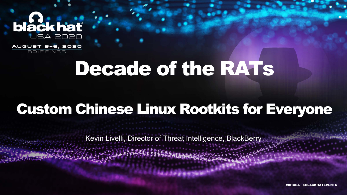### blackhat JSA 2020



# Decade of the RATs

# Custom Chinese Linux Rootkits for Everyone

Kevin Livelli, Director of Threat Intelligence, BlackBerry

@BLACKHATEVENTS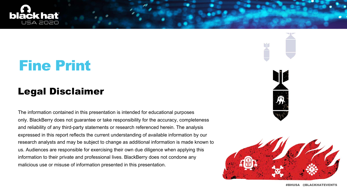



# Fine Print

#### Legal Disclaimer

The information contained in this presentation is intended for educational purposes only. BlackBerry does not guarantee or take responsibility for the accuracy, completeness and reliability of any third-party statements or research referenced herein. The analysis expressed in this report reflects the current understanding of available information by our research analysts and may be subject to change as additional information is made known to us. Audiences are responsible for exercising their own due diligence when applying this information to their private and professional lives. BlackBerry does not condone any malicious use or misuse of information presented in this presentation.







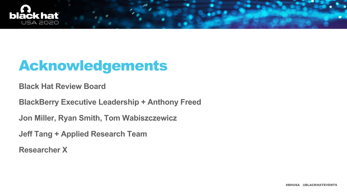**Black Hat Review Board**

**BlackBerry Executive Leadership + Anthony Freed**

**Jon Miller, Ryan Smith, Tom Wabiszczewicz**

**Jeff Tang + Applied Research Team**

**Researcher X**





# Acknowledgements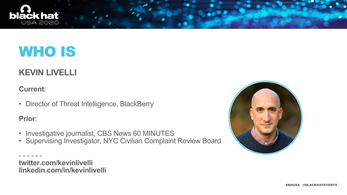#### **KEVIN LIVELLI**

#### **Current**:

• Director of Threat Intelligence, BlackBerry

**Prior**:

- Investigative journalist, CBS News 60 MINUTES
- Supervising Investigator, NYC Civilian Complaint Review Board

- - - - - **twitter.com/kevinlivelli linkedin.com/in/kevinlivelli**







# WHO IS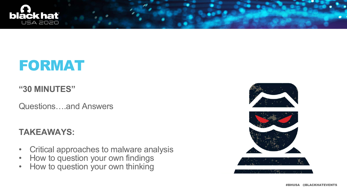#### **"30 MINUTES"**

- Critical approaches to malware analysis
- How to question your own findings
- How to question your own thinking









Questions….and Answers

#### **TAKEAWAYS:**



### FORMAT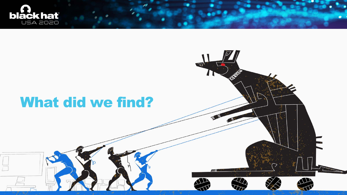

#### What did we find?



 $\equiv$ 

 $\overline{\mathbb{F}}$ 



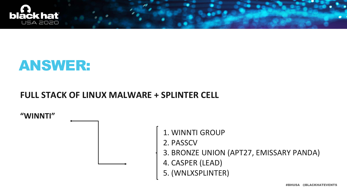



#### **FULL STACK OF LINUX MALWARE + SPLINTER CELL**

**"WINNTI"**

1. WINNTI GROUP

- 2. PASSCV
- 3. BRONZE UNION (APT27, EMISSARY PANDA)
- 4. CASPER (LEAD)
- 5. (WNLXSPLINTER)

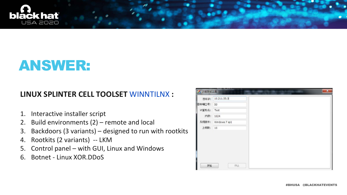

### ANSWER:

#### **LINUX SPLINTER CELL TOOLSET** WINNTILNX **:**

- 1. Interactive installer script
- 2. Build environments (2) remote and local
- 3. Backdoors (3 variants) designed to run with rootkits
- 4. Rootkits (2 variants) -- LKM
- 5. Control panel with GUI, Linux and Windows
- 6. Botnet Linux XOR.DDoS

| 目标IP:  | 10.211.55.3   |
|--------|---------------|
| 目标端□号: | 53            |
| 计算机名:  | Test          |
| 内存:    | 1024          |
| 系统版本:  | Windows 7 sp1 |
| 上线数:   | 10            |
|        |               |
|        |               |



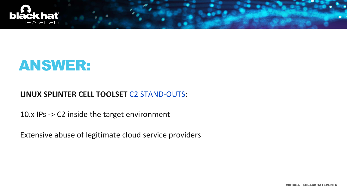



#### **LINUX SPLINTER CELL TOOLSET** C2 STAND-OUTS**:**

10.x IPs -> C2 inside the target environment

Extensive abuse of legitimate cloud service providers

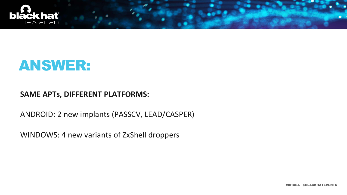



#### **SAME APTs, DIFFERENT PLATFORMS:**

ANDROID: 2 new implants (PASSCV, LEAD/CASPER)

WINDOWS: 4 new variants of ZxShell droppers

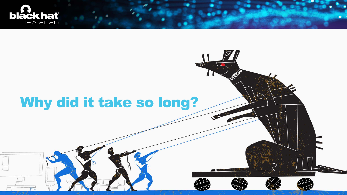

## Why did it take so long?



EM

್ರ



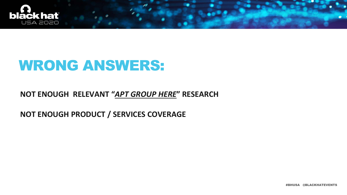

## WRONG ANSWERS:

#### **NOT ENOUGH RELEVANT "***APT GROUP HERE***" RESEARCH**

**NOT ENOUGH PRODUCT / SERVICES COVERAGE**

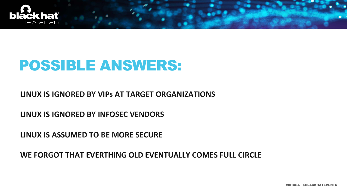

### POSSIBLE ANSWERS:

**LINUX IS IGNORED BY VIPs AT TARGET ORGANIZATIONS**

**LINUX IS IGNORED BY INFOSEC VENDORS**

**LINUX IS ASSUMED TO BE MORE SECURE** 

**WE FORGOT THAT EVERTHING OLD EVENTUALLY COMES FULL CIRCLE**

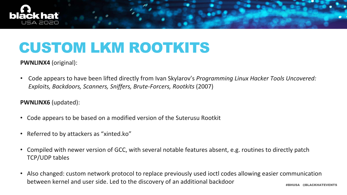

### CUSTOM LKM ROOTKITS

#### **PWNLINX4** (original):

• Code appears to have been lifted directly from Ivan Skylarov's *Programming Linux Hacker Tools Uncovered: Exploits, Backdoors, Scanners, Sniffers, Brute-Forcers, Rootkits* (2007)

#### **PWNLINX6** (updated):

- Code appears to be based on a modified version of the Suterusu Rootkit
- Referred to by attackers as "xinted.ko"
- Compiled with newer version of GCC, with several notable features absent, e.g. routines to directly patch TCP/UDP tables
- Also changed: custom network protocol to replace previously used ioctl codes allowing easier communication between kernel and user side. Led to the discovery of an additional backdoor

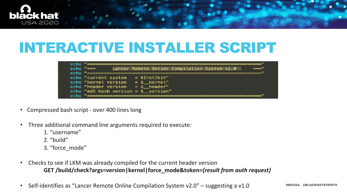- Compressed bash script over 400 lines long
- Three additional command line arguments required to execute:
	- 1. "username"
	- 2. "build"
	- 3. "force\_mode"
- Checks to see if LKM was already compiled for the current header version **GET /build/check?args=version|kernel|force\_mode&token=***{result from auth request}*
- Self-identifies as "Lancer Remote Online Compilation System v2.0" suggesting a v1.0





### INTERACTIVE INSTALLER SCRIPT

| echo.<br>echo. |                                                                      | Lancer Remote Online Compilation System v2.0    |                                                          |  |  |
|----------------|----------------------------------------------------------------------|-------------------------------------------------|----------------------------------------------------------|--|--|
|                | echo "current system<br>echo "kernel version<br>echo "header version | echo "md5 hash version = $\frac{1}{2}$ version" | $=$ \${ret}bit"<br>$=$ \$ $\&$ kernel"<br>$=$ \$ header" |  |  |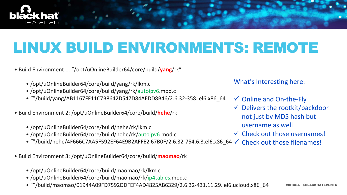

# LINUX BUILD ENVIRONMENTS: REMOTE

- Build Environment 1: "/opt/uOnlineBuilder64/core/build/**yang**/rk"
	- /opt/uOnlineBuilder64/core/build/yang/rk/lkm.c
	- /opt/uOnlineBuilder64/core/build/yang/rk/autoipv6.mod.c
	- ""/build/yang/AB1167FF11C7B8642D547D84AEDD8B46/2.6.32-358. el6.x86\_64
- Build Environment 2: /opt/uOnlineBuilder64/core/build/**hehe**/rk
	- /opt/uOnlineBuilder64/core/build/hehe/rk/lkm.c
	- /opt/uOnlineBuilder64/core/build/hehe/rk/autoipv6.mod.c
	- ""/build/hehe/4F666C7AA5F592EF64E9B2AFFE2 67B0F/2.6.32-754.6.3.el6.x86\_64  $\checkmark$
- Build Environment 3: /opt/uOnlineBuilder64/core/build/**maomao**/rk
	- /opt/uOnlineBuilder64/core/build/maomao/rk/lkm.c
	- /opt/uOnlineBuilder64/core/build/maomao/rk/ip4tables.mod.c
	- ""/build/maomao/01944A09FD7592DDFEF4AD4825AB6329/2.6.32-431.11.29. el6.ucloud.x86\_64
- not just by MD5 hash but username as well Check out those filenames!
- $\checkmark$  Online and On-the-Fly  $\checkmark$  Delivers the rootkit/backdoor  $\checkmark$  Check out those usernames!
- 
- 
- 



What's Interesting here: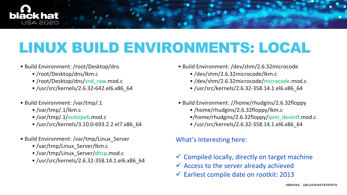

# LINUX BUILD ENVIRONMENTS: LOCAL

- Build Environment: /root/Desktop/dns
	- /root/Desktop/dns/lkm.c
	- /root/Desktop/dns/snd\_raw.mod.c
	- /usr/src/kernels/2.6.32-642.el6.x86\_64
- Build Environment: /var/tmp/.1
	- /var/tmp/.1/lkm.c
	- /var/tmp/.1/autoipv6.mod.c
	- /usr/src/kernels/3.10.0-693.2.2.el7.x86\_64
- Build Environment: /var/tmp/Linux\_Server
	- /var/tmp/Linux\_Server/lkm.c
	- /var/tmp/Linux\_Server/dhcp.mod.c
	- /usr/src/kernels/2.6.32-358.14.1.el6.x86\_64
- Build Environment: /dev/shm/2.6.32microcode
	- /dev/shm/2.6.32microcode/lkm.c
	- /dev/shm/2.6.32microcode/microcode.mod.c
	- /usr/src/kernels/2.6.32-358.14.1.el6.x86\_64
- Build Environment: //home/rhudgins/2.6.32floppy
	- /home/rhudgins/2.6.32floppy/lkm.c
	- •/home/rhudgins/2.6.32floppy/ipmi\_devintf.mod.c
	- /usr/src/kernels/2.6.32-358.14.1.el6.x86\_64

#### What's Interesting here:

- $\checkmark$  Compiled locally, directly on target machine
- $\checkmark$  Access to the server already achieved
- $\checkmark$  Earliest compile date on rootkit: 2013



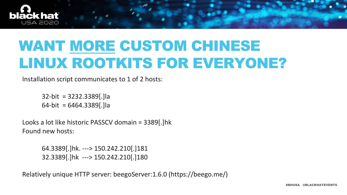

# WANT MORE CUSTOM CHINESE LINUX ROOTKITS FOR EVERYONE?

Installation script communicates to 1 of 2 hosts:

32-bit = 3232.3389[.]la 64-bit = 6464.3389[.]la

Looks a lot like historic PASSCV domain = 3389[.]hk Found new hosts:

> 64.3389[.]hk. ---> 150.242.210[.]181 32.3389[.]hk ---> 150.242.210[.]180

Relatively unique HTTP server: beegoServer:1.6.0 (https://beego.me/)



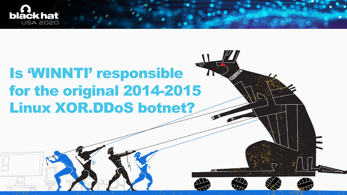



# Is 'WINNTI' responsible for the original 2014-2015 Linux XOR.DDoS botnet?

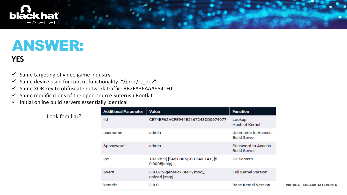

## ANSWER:

#### **YES**

- $\checkmark$  Same targeting of video game industry
- $\checkmark$  Same device used for rootkit functionality: "/proc/rs\_dev"
- $\checkmark$  Same XOR key to obfuscate network traffic: BB2FA36AAA9541F0
- $\checkmark$  Same modifications of the open-source Suterusu Rootkit
- $\checkmark$  Initial online build servers essentially identical

Look familiar?

| <b>Additional Parameter</b> | <b>Value</b>                                           | <b>Function</b>                                  |
|-----------------------------|--------------------------------------------------------|--------------------------------------------------|
| $iid =$                     | CE74BF62ACFE944B2167248DD0674977                       | Lookup<br><b>Hash of Kernel</b>                  |
| username=                   | admin                                                  | <b>Username to Access</b><br><b>Build Server</b> |
| &password=                  | admin                                                  | <b>Password to Access</b><br><b>Build Server</b> |
| ip=                         | 103.25.9[.]245:8005 103.240.141[.]5<br>$0:8005$ [snip] | C <sub>2</sub> Servers                           |
| $&ver=$                     | 3.8.0-19-generic\ SMP\ mod_<br>unload [snip]           | <b>Full Kernel Version</b>                       |
| kernel=                     | 3.8.0                                                  | <b>Base Kernel Version</b>                       |
|                             |                                                        |                                                  |

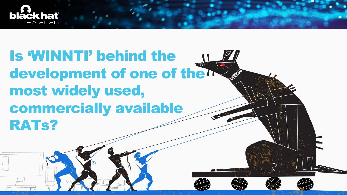



# Is 'WINNTI' behind the development of one of the<sup>n</sup> most widely used, commercially available RATs?

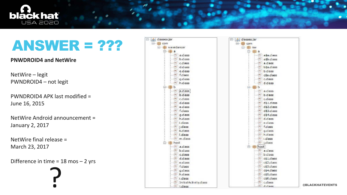

#### ANSWER = ???

**PNWDROID4 and NetWire** 

NetWire – legit PWNDROID4 – not legit

PWNDROID4 APK last modified = June 16, 2015

NetWire Android announcement = January 2, 2017

NetWire final release = March 23, 2017

Difference in time = 18 mos – 2 yrs ?

| $\Box$ $\Box$ classes jar                                                                         | 日·  4) dasses.jar            |
|---------------------------------------------------------------------------------------------------|------------------------------|
| 日· 日 com                                                                                          | E B com                      |
| □ <del>U</del> wavedancer                                                                         | <b>□ 田</b> nw                |
| 日田日                                                                                               | ◎ 田 ◎                        |
| a.dass<br>$+50$                                                                                   | asa.das                      |
| b.dass                                                                                            | a sb.clas<br>O)              |
| c.dass<br>$\rightarrow$ (F)                                                                       | a.class<br>$1.1 - 1.7 - 2.1$ |
| d.dass                                                                                            | <b>b</b> Sa.das<br>وي        |
| e.dass                                                                                            | b.class<br>$-0.71$           |
| ficlass<br>$\overline{\mathcal{L}}$                                                               | c\$a.clas                    |
| g.dass<br>ಹ                                                                                       | c.dass                       |
| h.dass                                                                                            | diclass<br>æ                 |
| ie + the b                                                                                        | 白·田b                         |
| a.dass<br>æ.                                                                                      | a.dass                       |
| b.dass<br>- 15                                                                                    | b.class                      |
| c.dass<br>₩                                                                                       | c.dass<br>-1591              |
| d.dass<br>العبار                                                                                  | $ds1$ .clas<br>$-170$        |
| e.dass<br>$-100$                                                                                  | $ds2$ .das                   |
| f.class<br>$\Rightarrow$                                                                          | $d$ \$3. $d$ as<br>ا کا      |
| g.dass<br>$-100$                                                                                  | d\$4.das                     |
| h.dass<br>$\equiv$                                                                                | d.class                      |
| i dass                                                                                            | e class                      |
| j.class                                                                                           | f.dass                       |
| k.dass                                                                                            | g.class                      |
| I.dass                                                                                            | h.class                      |
| m.dass                                                                                            | I.dass                       |
| 白 田 host                                                                                          | j.dass                       |
| a.dass<br>ರಾ                                                                                      | 白·由host                      |
| b.dass<br>$\Rightarrow$                                                                           | a class                      |
| C.dass                                                                                            | b.class                      |
| d.dass<br>₩                                                                                       | c\$1.clas                    |
| e.dass<br>⊜                                                                                       | $\sim$ c\$2.clas             |
| f.class                                                                                           | c\$3.clas                    |
| $\frac{1}{2} \left( \frac{1}{2} \right)^{2} \frac{1}{2} \left( \frac{1}{2} \right)^{2}$<br>g.dass | cs4.clas                     |
| h.dass                                                                                            | c\$5.clas                    |
| - 1.dass                                                                                          | c\$6.clas                    |
| Initial Activity.class                                                                            | c.dass                       |
| $1 - 100$ $\leq$ $\leq$ $\leq$ $\leq$ $\leq$                                                      | $-100$ detace                |



| ass<br>lass<br>S.<br>lass<br>is.<br>lass<br>s<br>IS<br>S.<br>S.<br>s<br>ass<br>ass<br>lass<br>ass<br>s<br>S.<br>S.<br>s<br>$\overline{\mathbf{z}}$<br>s<br>s<br>ä.<br>ø<br>ass<br>lass<br>lass<br>ass<br>lass<br>lass<br>s |  |  |  |
|----------------------------------------------------------------------------------------------------------------------------------------------------------------------------------------------------------------------------|--|--|--|
|                                                                                                                                                                                                                            |  |  |  |
|                                                                                                                                                                                                                            |  |  |  |
|                                                                                                                                                                                                                            |  |  |  |
|                                                                                                                                                                                                                            |  |  |  |
|                                                                                                                                                                                                                            |  |  |  |
|                                                                                                                                                                                                                            |  |  |  |
|                                                                                                                                                                                                                            |  |  |  |
|                                                                                                                                                                                                                            |  |  |  |
|                                                                                                                                                                                                                            |  |  |  |
|                                                                                                                                                                                                                            |  |  |  |
|                                                                                                                                                                                                                            |  |  |  |
|                                                                                                                                                                                                                            |  |  |  |
|                                                                                                                                                                                                                            |  |  |  |
|                                                                                                                                                                                                                            |  |  |  |
|                                                                                                                                                                                                                            |  |  |  |
|                                                                                                                                                                                                                            |  |  |  |
|                                                                                                                                                                                                                            |  |  |  |
|                                                                                                                                                                                                                            |  |  |  |
|                                                                                                                                                                                                                            |  |  |  |
|                                                                                                                                                                                                                            |  |  |  |
|                                                                                                                                                                                                                            |  |  |  |
|                                                                                                                                                                                                                            |  |  |  |
|                                                                                                                                                                                                                            |  |  |  |
|                                                                                                                                                                                                                            |  |  |  |
|                                                                                                                                                                                                                            |  |  |  |
|                                                                                                                                                                                                                            |  |  |  |
|                                                                                                                                                                                                                            |  |  |  |
|                                                                                                                                                                                                                            |  |  |  |
|                                                                                                                                                                                                                            |  |  |  |
|                                                                                                                                                                                                                            |  |  |  |
|                                                                                                                                                                                                                            |  |  |  |
|                                                                                                                                                                                                                            |  |  |  |
|                                                                                                                                                                                                                            |  |  |  |
|                                                                                                                                                                                                                            |  |  |  |
| Ø.                                                                                                                                                                                                                         |  |  |  |

#### @BLACKHATEVENTS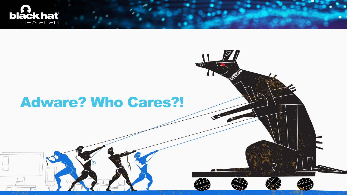



#### Adware? Who Cares?!

 $\overline{\mathbf{z}}$ 

EM

77

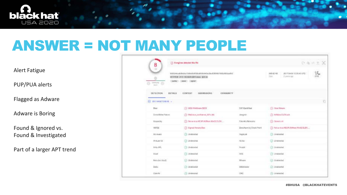

### ANSWER = NOT MANY PEOPLE

#### Alert Fatigue

PUP/PUA alerts

Flagged as Adware

Adware is Boring

Found & Ignored vs. Found & Investigated

Part of a larger APT trend

| 8                                                                                                                               | (1) Bangines detected this file                       |                           |                  |
|---------------------------------------------------------------------------------------------------------------------------------|-------------------------------------------------------|---------------------------|------------------|
| nia<br>$\begin{array}{l} \displaystyle \mathrm{Thermi}(\mathbf{0}) \\[1ex] \displaystyle \mathrm{Thermi} \end{array}$<br>0<br>o | HETPRIX (AV): 周沢高校宮財主部に、副本か)<br>covering press agreed |                           | 305.02<br>Sier : |
| DETECTION -                                                                                                                     | DETAILS CONTENT SUBMISSIONS<br><b>COMMUNITY</b>       |                           |                  |
| <b>ПО ИЗГЛАФИТЕТОВ -</b>                                                                                                        |                                                       |                           |                  |
| <b>Diast</b>                                                                                                                    | (1) W32.HtsAdvare.9009                                | CAT-Quick Heal            | (1)              |
| ClowdSt ke Falcos                                                                                                               | (1) Malcinia culturior 60% (M)                        | Jargmin                   | <b>O.A</b>       |
| Nespieciky                                                                                                                      | (1) Not a virus HEUR AdVises Well ELEX                | Polo Abs/Aletworks        | $\circ$          |
| VBASQ                                                                                                                           | (1) Eigned-Adversition                                | Zono/Kerry by Check Pent. | Θh               |
| Ad-Awarer                                                                                                                       | (7) Undelseled                                        | AogoLott                  | 20               |
| And Jo-Vill                                                                                                                     | <b>CO</b> Underschild                                 | <b>ALYING</b>             | ◎↓               |
| Arlie AV.                                                                                                                       | C) Undetected                                         | Avaughet.                 | (3,1)            |
| Avest                                                                                                                           | (-) Undetected                                        | N/N                       | Ø.               |
| Budo on invA                                                                                                                    | (c) Undetected                                        | Ween                      | 50               |
| BAGU.                                                                                                                           | (7) Undelected                                        | <b>GREMANIA</b>           | ◎ 1              |
| Clair AV                                                                                                                        | (2) Undetected                                        | <b>CMC</b>                | (2) U            |



| ○ 名 ニ ま 入                                        |                 |  |
|--------------------------------------------------|-----------------|--|
| 00210-0031108-12000-0120<br>e.<br>2. Jennis 1991 | $\frac{3L}{6M}$ |  |
|                                                  |                 |  |
| 1) Haut Advance                                  | b               |  |
| D. Athlee D.EXads                                |                 |  |
| $0$ October                                      |                 |  |
| 1) Not a Hrys HDUM Advises RH3D BLEX             |                 |  |
| To Undertake III                                 |                 |  |
| <b>Determined</b>                                |                 |  |
| 3 University (                                   |                 |  |
| y Understad                                      |                 |  |
| beheld (                                         |                 |  |
| - browsered                                      |                 |  |
| 2) underscort                                    |                 |  |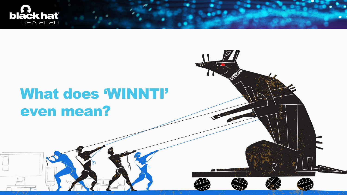

 $\equiv$ 



## What does 'WINNTI' even mean?

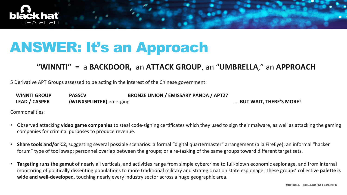

### ANSWER: It's an Approach

#### **"WINNTI" =** a **BACKDOOR,** an **ATTACK GROUP**, an "**UMBRELLA**," an **APPROACH**

5 Derivative APT Groups assessed to be acting in the interest of the Chinese government:

**WINNTI GROUP PASSCV BRONZE UNION / EMISSARY PANDA / APT27 LEAD / CASPER (WLNXSPLINTER)** emerging …..**BUT WAIT, THERE'S MORE!**

Commonalities:

- Observed attacking **video game companies** to steal code-signing certificates which they used to sign their malware, as well as attacking the gaming companies for criminal purposes to produce revenue.
- **Share tools and/or C2**, suggesting several possible scenarios: a formal "digital quartermaster" arrangement (a la FireEye); an informal "hacker forum" type of tool swap; personnel overlap between the groups; or a re-tasking of the same groups toward different target sets.
- **Targeting runs the gamut** of nearly all verticals, and activities range from simple cybercrime to full-blown economic espionage, and from internal monitoring of politically dissenting populations to more traditional military and strategic nation state espionage. These groups' collective **palette is wide and well-developed**, touching nearly every industry sector across a huge geographic area.

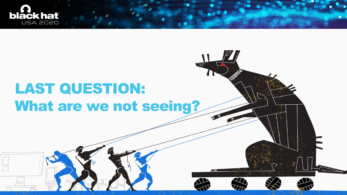



# LAST QUESTION: What are we not seeing?

EN